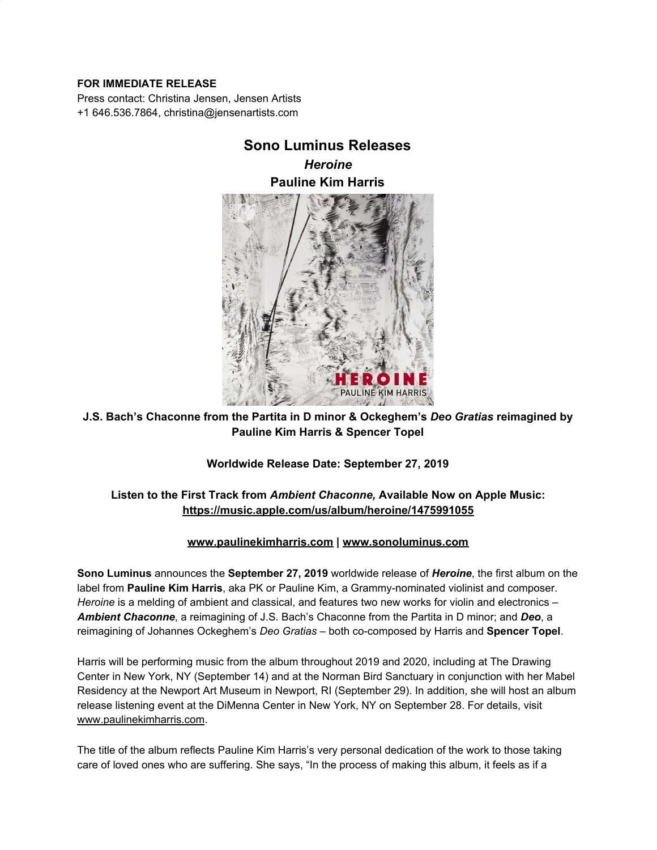### **FOR IMMEDIATE RELEASE**

Press contact: Christina Jensen, Jensen Artists +1 646.536.7864, christina@jensenartists.com

# **Sono Luminus Releases**

*Heroine* **Pauline Kim Harris**



## **J.S. Bach's Chaconne from the Partita in D minor & Ockeghem's** *Deo Gratias* **reimagined by Pauline Kim Harris & Spencer Topel**

**Worldwide Release Date: September 27, 2019**

## **Listen to the First Track from** *Ambient Chaconne,* **Available Now on Apple Music: [https://music.apple.com/us/album/heroine/1475991055](https://u7061146.ct.sendgrid.net/wf/click?upn=G62jSYfZdO-2F12d8lSllQByoGBC8d6-2FAkaWBrfUdw-2Fndxo-2B6H-2BA4ZWEpJ14cn36YNeko-2BytslMF3qcY0Fly3e1w-3D-3D_DruDjhchMBr5xQkz3h1qcOnjZc-2BCsAVhraQ7DxYhbA2-2BHLQf-2BHKWaWi2FTM7QHo-2Fd7eCMDRMAhfd2mcWSs-2FpzNW9MmuPwV7rH-2FbDd7DdSSaHK3issseaFgaBuSprRVz7nVHpRiYs1vhSaQXUmvHInZLClUmFIBio9H0nzDZT0CxIMzo-2FfUMwX56TwnOUcQvLsSwHdN5UUFgOmJpfXHZNlTdqVi1U3oFQhrBNsGUxGogBRLGbNoR0RM4HtgAkbmgjCUEEot-2BH7s915PK3j6K2dR21iZes0hjQxNiQngJa4NjpxWSXZETzfHR3wPyUHT7wDCwE7BDxWbVpmitLS6U97A40ta-2B67hH-2BVkQaRsAOqfw-3D)**

### **[www.paulinekimharris.com](https://u7061146.ct.sendgrid.net/wf/click?upn=84Em28S1K9SvtzcUtu04EuTjs-2Fye7YHcA-2BcRpUvVeKQEFJbCtWZxaxJyLTp1xHw4_DruDjhchMBr5xQkz3h1qcOnjZc-2BCsAVhraQ7DxYhbA2-2BHLQf-2BHKWaWi2FTM7QHo-2Fd7eCMDRMAhfd2mcWSs-2FpzNW9MmuPwV7rH-2FbDd7DdSSaHK3issseaFgaBuSprRVz7nVHpRiYs1vhSaQXUmvHInZLClUmFIBio9H0nzDZT0CxIMzo-2FfUMwX56TwnOUcQvLsSwHdN5UUFgOmJpfXHZNlfhGUvZbehDUaWs-2F24-2FchOjZXzAfQ2pJEgJrMxHsMHce6B2DIEnyL4iDoid4J5pepeTN6nB2-2Fa-2B-2Frs4vaiuOBCMt-2B-2BHspJGbDQLe-2F4zO96NxddzWjESX2oq7zHQvYPMUsHLbGnkKImC3OKWwZCO3b20-3D) | [www.sonoluminus.com](https://u7061146.ct.sendgrid.net/wf/click?upn=84Em28S1K9SvtzcUtu04ErPoeodTSUCmqLpgfy6M9NrKxoFRv64z3xh-2BsFfiMv6D_DruDjhchMBr5xQkz3h1qcOnjZc-2BCsAVhraQ7DxYhbA2-2BHLQf-2BHKWaWi2FTM7QHo-2Fd7eCMDRMAhfd2mcWSs-2FpzNW9MmuPwV7rH-2FbDd7DdSSaHK3issseaFgaBuSprRVz7nVHpRiYs1vhSaQXUmvHInZLClUmFIBio9H0nzDZT0CxIMzo-2FfUMwX56TwnOUcQvLsSwHdN5UUFgOmJpfXHZNlZh02OPEJi0jYhi17OMkEdgEAR-2BhnCHNBvFshKT9wUBtISPNV-2FNWm-2Fyxcwz4DewCJ6I-2FfIRu7xNO7lEBAryH0xwB-2BblYSwMzUD2wCMvRE3uE1CvVsINpuyur2qtDVRZ-2BmsCFjrMskPfOZoVxqYp6mTw-3D)**

**Sono Luminus** announces the **September 27, 2019** worldwide release of *Heroine*, the first album on the label from **Pauline Kim Harris**, aka PK or Pauline Kim, a Grammy-nominated violinist and composer. *Heroine* is a melding of ambient and classical, and features two new works for violin and electronics – *Ambient Chaconne*, a reimagining of J.S. Bach's Chaconne from the Partita in D minor; and *Deo*, a reimagining of Johannes Ockeghem's *Deo Gratias* – both co-composed by Harris and **Spencer Topel**.

Harris will be performing music from the album throughout 2019 and 2020, including at The Drawing Center in New York, NY (September 14) and at the Norman Bird Sanctuary in conjunction with her Mabel Residency at the Newport Art Museum in Newport, RI (September 29). In addition, she will host an album release listening event at the DiMenna Center in New York, NY on September 28. For details, visit [www.paulinekimharris.com](https://u7061146.ct.sendgrid.net/wf/click?upn=84Em28S1K9SvtzcUtu04EuTjs-2Fye7YHcA-2BcRpUvVeKTXdZOZB2IipEUcWYFKxYpD_DruDjhchMBr5xQkz3h1qcOnjZc-2BCsAVhraQ7DxYhbA2-2BHLQf-2BHKWaWi2FTM7QHo-2Fd7eCMDRMAhfd2mcWSs-2FpzNW9MmuPwV7rH-2FbDd7DdSSaHK3issseaFgaBuSprRVz7nVHpRiYs1vhSaQXUmvHInZLClUmFIBio9H0nzDZT0CxIMzo-2FfUMwX56TwnOUcQvLsSwHdN5UUFgOmJpfXHZNlV-2FJ7zaj3DRRZByc7ptYWAsjhYlDqy6Fv-2FclXmOWuC5XfDxq78ElC4ANegqocnJ-2FG1Sr9SktYdi39TD8a75Iw4Upr0QsGPbZr-2FQ5yqs9PLTkW22ELWIzuMS2oW3nxPKv9QHVgV6juXwI7pQqHoz89QA-3D).

The title of the album reflects Pauline Kim Harris's very personal dedication of the work to those taking care of loved ones who are suffering. She says, "In the process of making this album, it feels as if a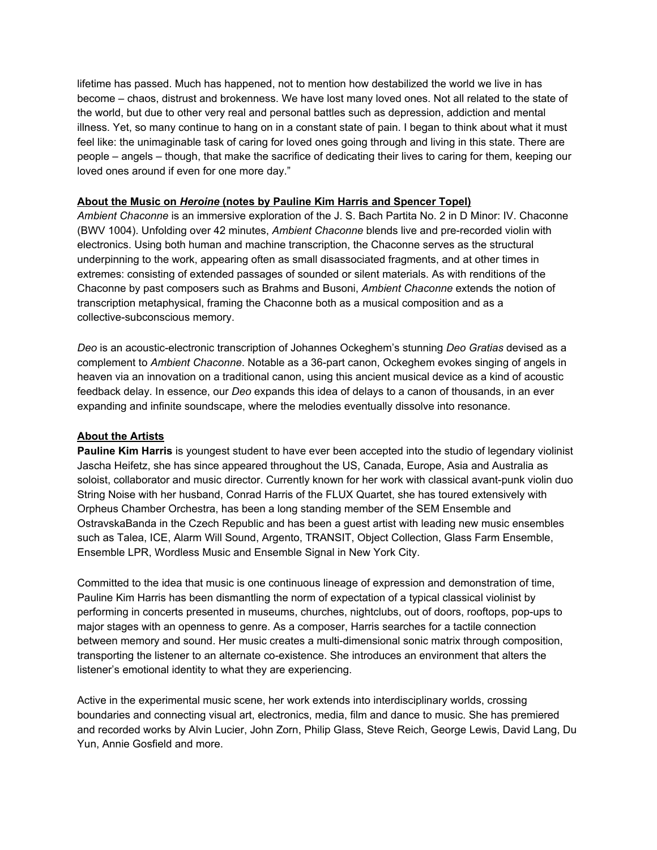lifetime has passed. Much has happened, not to mention how destabilized the world we live in has become – chaos, distrust and brokenness. We have lost many loved ones. Not all related to the state of the world, but due to other very real and personal battles such as depression, addiction and mental illness. Yet, so many continue to hang on in a constant state of pain. I began to think about what it must feel like: the unimaginable task of caring for loved ones going through and living in this state. There are people – angels – though, that make the sacrifice of dedicating their lives to caring for them, keeping our loved ones around if even for one more day."

#### **About the Music on** *Heroine* **(notes by Pauline Kim Harris and Spencer Topel)**

*Ambient Chaconne* is an immersive exploration of the J. S. Bach Partita No. 2 in D Minor: IV. Chaconne (BWV 1004). Unfolding over 42 minutes, *Ambient Chaconne* blends live and pre-recorded violin with electronics. Using both human and machine transcription, the Chaconne serves as the structural underpinning to the work, appearing often as small disassociated fragments, and at other times in extremes: consisting of extended passages of sounded or silent materials. As with renditions of the Chaconne by past composers such as Brahms and Busoni, *Ambient Chaconne* extends the notion of transcription metaphysical, framing the Chaconne both as a musical composition and as a collective-subconscious memory.

*Deo* is an acoustic-electronic transcription of Johannes Ockeghem's stunning *Deo Gratias* devised as a complement to *Ambient Chaconne*. Notable as a 36-part canon, Ockeghem evokes singing of angels in heaven via an innovation on a traditional canon, using this ancient musical device as a kind of acoustic feedback delay. In essence, our *Deo* expands this idea of delays to a canon of thousands, in an ever expanding and infinite soundscape, where the melodies eventually dissolve into resonance.

#### **About the Artists**

**Pauline Kim Harris** is youngest student to have ever been accepted into the studio of legendary violinist Jascha Heifetz, she has since appeared throughout the US, Canada, Europe, Asia and Australia as soloist, collaborator and music director. Currently known for her work with classical avant-punk violin duo String Noise with her husband, Conrad Harris of the FLUX Quartet, she has toured extensively with Orpheus Chamber Orchestra, has been a long standing member of the SEM Ensemble and OstravskaBanda in the Czech Republic and has been a guest artist with leading new music ensembles such as Talea, ICE, Alarm Will Sound, Argento, TRANSIT, Object Collection, Glass Farm Ensemble, Ensemble LPR, Wordless Music and Ensemble Signal in New York City.

Committed to the idea that music is one continuous lineage of expression and demonstration of time, Pauline Kim Harris has been dismantling the norm of expectation of a typical classical violinist by performing in concerts presented in museums, churches, nightclubs, out of doors, rooftops, pop-ups to major stages with an openness to genre. As a composer, Harris searches for a tactile connection between memory and sound. Her music creates a multi-dimensional sonic matrix through composition, transporting the listener to an alternate co-existence. She introduces an environment that alters the listener's emotional identity to what they are experiencing.

Active in the experimental music scene, her work extends into interdisciplinary worlds, crossing boundaries and connecting visual art, electronics, media, film and dance to music. She has premiered and recorded works by Alvin Lucier, John Zorn, Philip Glass, Steve Reich, George Lewis, David Lang, Du Yun, Annie Gosfield and more.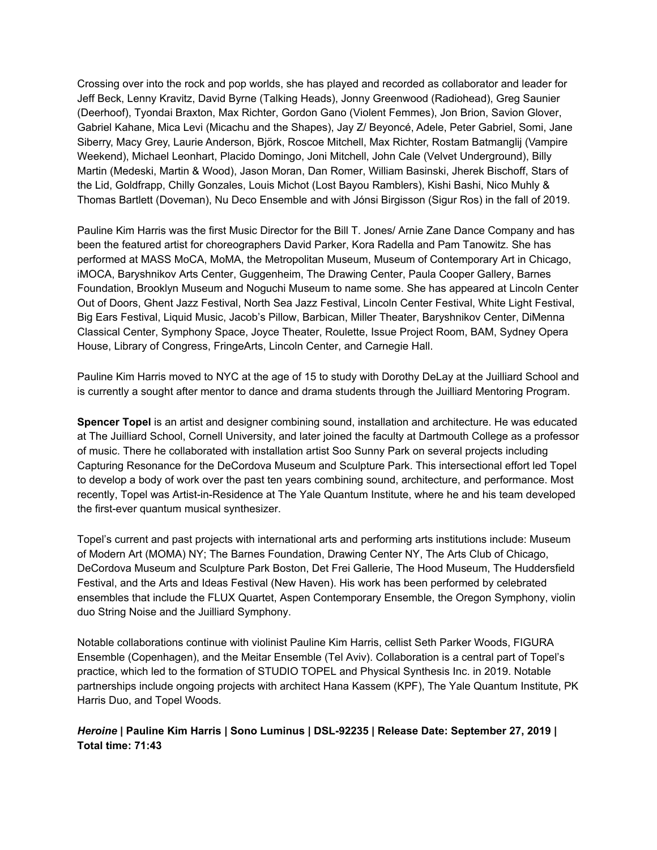Crossing over into the rock and pop worlds, she has played and recorded as collaborator and leader for Jeff Beck, Lenny Kravitz, David Byrne (Talking Heads), Jonny Greenwood (Radiohead), Greg Saunier (Deerhoof), Tyondai Braxton, Max Richter, Gordon Gano (Violent Femmes), Jon Brion, Savion Glover, Gabriel Kahane, Mica Levi (Micachu and the Shapes), Jay Z/ Beyoncé, Adele, Peter Gabriel, Somi, Jane Siberry, Macy Grey, Laurie Anderson, Björk, Roscoe Mitchell, Max Richter, Rostam Batmanglij (Vampire Weekend), Michael Leonhart, Placido Domingo, Joni Mitchell, John Cale (Velvet Underground), Billy Martin (Medeski, Martin & Wood), Jason Moran, Dan Romer, William Basinski, Jherek Bischoff, Stars of the Lid, Goldfrapp, Chilly Gonzales, Louis Michot (Lost Bayou Ramblers), Kishi Bashi, Nico Muhly & Thomas Bartlett (Doveman), Nu Deco Ensemble and with Jónsi Birgisson (Sigur Ros) in the fall of 2019.

Pauline Kim Harris was the first Music Director for the Bill T. Jones/ Arnie Zane Dance Company and has been the featured artist for choreographers David Parker, Kora Radella and Pam Tanowitz. She has performed at MASS MoCA, MoMA, the Metropolitan Museum, Museum of Contemporary Art in Chicago, iMOCA, Baryshnikov Arts Center, Guggenheim, The Drawing Center, Paula Cooper Gallery, Barnes Foundation, Brooklyn Museum and Noguchi Museum to name some. She has appeared at Lincoln Center Out of Doors, Ghent Jazz Festival, North Sea Jazz Festival, Lincoln Center Festival, White Light Festival, Big Ears Festival, Liquid Music, Jacob's Pillow, Barbican, Miller Theater, Baryshnikov Center, DiMenna Classical Center, Symphony Space, Joyce Theater, Roulette, Issue Project Room, BAM, Sydney Opera House, Library of Congress, FringeArts, Lincoln Center, and Carnegie Hall.

Pauline Kim Harris moved to NYC at the age of 15 to study with Dorothy DeLay at the Juilliard School and is currently a sought after mentor to dance and drama students through the Juilliard Mentoring Program.

**Spencer Topel** is an artist and designer combining sound, installation and architecture. He was educated at The Juilliard School, Cornell University, and later joined the faculty at Dartmouth College as a professor of music. There he collaborated with installation artist Soo Sunny Park on several projects including Capturing Resonance for the DeCordova Museum and Sculpture Park. This intersectional effort led Topel to develop a body of work over the past ten years combining sound, architecture, and performance. Most recently, Topel was Artist-in-Residence at The Yale Quantum Institute, where he and his team developed the first-ever quantum musical synthesizer.

Topel's current and past projects with international arts and performing arts institutions include: Museum of Modern Art (MOMA) NY; The Barnes Foundation, Drawing Center NY, The Arts Club of Chicago, DeCordova Museum and Sculpture Park Boston, Det Frei Gallerie, The Hood Museum, The Huddersfield Festival, and the Arts and Ideas Festival (New Haven). His work has been performed by celebrated ensembles that include the FLUX Quartet, Aspen Contemporary Ensemble, the Oregon Symphony, violin duo String Noise and the Juilliard Symphony.

Notable collaborations continue with violinist Pauline Kim Harris, cellist Seth Parker Woods, FIGURA Ensemble (Copenhagen), and the Meitar Ensemble (Tel Aviv). Collaboration is a central part of Topel's practice, which led to the formation of STUDIO TOPEL and Physical Synthesis Inc. in 2019. Notable partnerships include ongoing projects with architect Hana Kassem (KPF), The Yale Quantum Institute, PK Harris Duo, and Topel Woods.

### *Heroine* **| Pauline Kim Harris | Sono Luminus | DSL-92235 | Release Date: September 27, 2019 | Total time: 71:43**